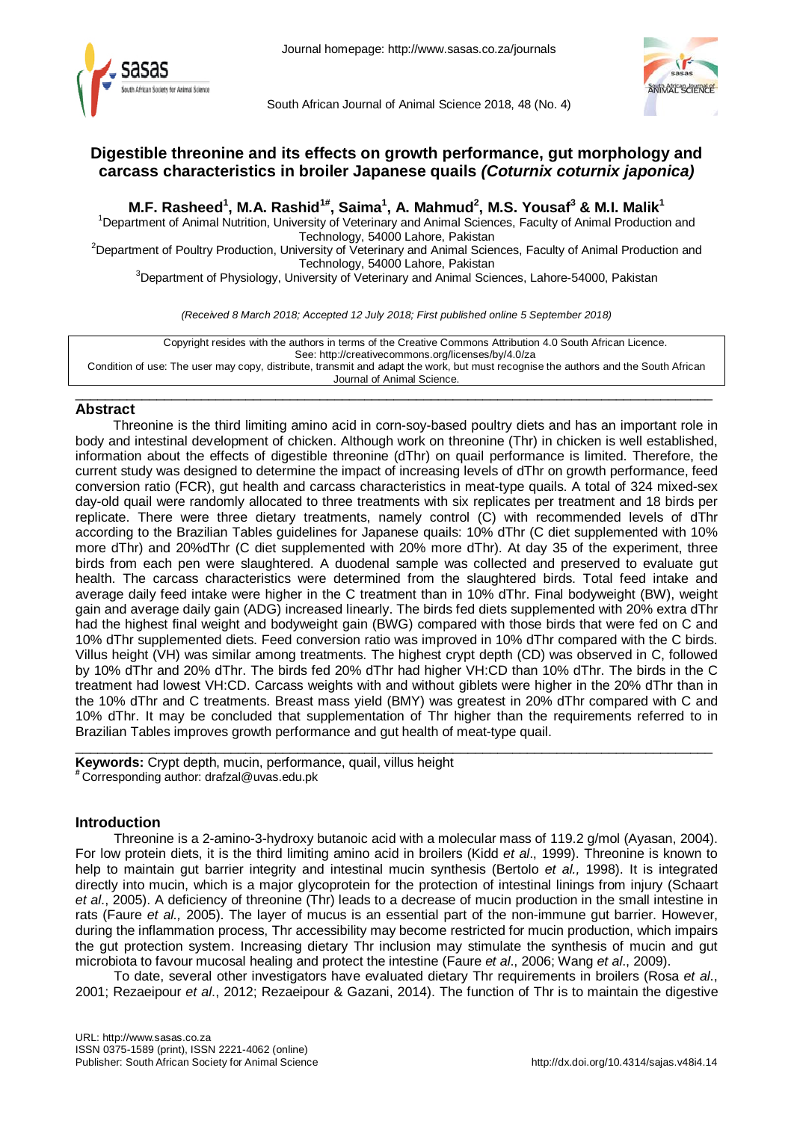



South African Journal of Animal Science 2018, 48 (No. 4)



# **Digestible threonine and its effects on growth performance, gut morphology and carcass characteristics in broiler Japanese quails** *(Coturnix coturnix japonica)*

**M.F. Rasheed<sup>1</sup>, M.A. Rashid<sup>1#</sup>, Saima<sup>1</sup>, A. Mahmud<sup>2</sup>, M.S. Yousaf<sup>3</sup> & M.I. Malik<sup>1</sup><br><sup>1</sup>Department of Animal Nutrition, University of Veterinary and Animal Sciences, Faculty of Animal Production and** 

Technology, 54000 Lahore, Pakistan<br><sup>2</sup>Department of Poultry Production, University of Veterinary and Animal Sciences, Faculty of Animal Production and

Technology, 54000 Lahore, Pakistan<br><sup>3</sup>Department of Physiology, University of Veterinary and Animal Sciences, Lahore-54000, Pakistan

*(Received 8 March 2018; Accepted 12 July 2018; First published online 5 September 2018)*

Copyright resides with the authors in terms of the Creative Commons Attribution 4.0 South African Licence. See: http://creativecommons.org/licenses/by/4.0/za Condition of use: The user may copy, distribute, transmit and adapt the work, but must recognise the authors and the South African Journal of Animal Science.

## $\_$  , and the set of the set of the set of the set of the set of the set of the set of the set of the set of the set of the set of the set of the set of the set of the set of the set of the set of the set of the set of th **Abstract**

Threonine is the third limiting amino acid in corn-soy-based poultry diets and has an important role in body and intestinal development of chicken. Although work on threonine (Thr) in chicken is well established, information about the effects of digestible threonine (dThr) on quail performance is limited. Therefore, the current study was designed to determine the impact of increasing levels of dThr on growth performance, feed conversion ratio (FCR), gut health and carcass characteristics in meat-type quails. A total of 324 mixed-sex day-old quail were randomly allocated to three treatments with six replicates per treatment and 18 birds per replicate. There were three dietary treatments, namely control (C) with recommended levels of dThr according to the Brazilian Tables guidelines for Japanese quails: 10% dThr (C diet supplemented with 10% more dThr) and 20%dThr (C diet supplemented with 20% more dThr). At day 35 of the experiment, three birds from each pen were slaughtered. A duodenal sample was collected and preserved to evaluate gut health. The carcass characteristics were determined from the slaughtered birds. Total feed intake and average daily feed intake were higher in the C treatment than in 10% dThr. Final bodyweight (BW), weight gain and average daily gain (ADG) increased linearly. The birds fed diets supplemented with 20% extra dThr had the highest final weight and bodyweight gain (BWG) compared with those birds that were fed on C and 10% dThr supplemented diets. Feed conversion ratio was improved in 10% dThr compared with the C birds. Villus height (VH) was similar among treatments. The highest crypt depth (CD) was observed in C, followed by 10% dThr and 20% dThr. The birds fed 20% dThr had higher VH:CD than 10% dThr. The birds in the C treatment had lowest VH:CD. Carcass weights with and without giblets were higher in the 20% dThr than in the 10% dThr and C treatments. Breast mass yield (BMY) was greatest in 20% dThr compared with C and 10% dThr. It may be concluded that supplementation of Thr higher than the requirements referred to in Brazilian Tables improves growth performance and gut health of meat-type quail.

 $\_$  ,  $\_$  ,  $\_$  ,  $\_$  ,  $\_$  ,  $\_$  ,  $\_$  ,  $\_$  ,  $\_$  ,  $\_$  ,  $\_$  ,  $\_$  ,  $\_$  ,  $\_$  ,  $\_$  ,  $\_$  ,  $\_$  ,  $\_$  ,  $\_$  ,  $\_$  ,  $\_$  ,  $\_$  ,  $\_$  ,  $\_$  ,  $\_$  ,  $\_$  ,  $\_$  ,  $\_$  ,  $\_$  ,  $\_$  ,  $\_$  ,  $\_$  ,  $\_$  ,  $\_$  ,  $\_$  ,  $\_$  ,  $\_$  , **Keywords:** Crypt depth, mucin, performance, quail, villus height **#** Corresponding author: [drafzal@uvas.edu.pk](mailto:drafzal@uvas.edu.pk)

## **Introduction**

Threonine is a 2-amino-3-hydroxy butanoic acid with a molecular mass of 119.2 g/mol (Ayasan, 2004). For low protein diets, it is the third limiting amino acid in broilers (Kidd *et al*., 1999). Threonine is known to help to maintain gut barrier integrity and intestinal mucin synthesis (Bertolo *et al.,* 1998). It is integrated directly into mucin, which is a major glycoprotein for the protection of intestinal linings from injury (Schaart *et al*., 2005). A deficiency of threonine (Thr) leads to a decrease of mucin production in the small intestine in rats (Faure *et al.,* 2005). The layer of mucus is an essential part of the non-immune gut barrier. However, during the inflammation process, Thr accessibility may become restricted for mucin production, which impairs the gut protection system. Increasing dietary Thr inclusion may stimulate the synthesis of mucin and gut microbiota to favour mucosal healing and protect the intestine (Faure *et al*., 2006; Wang *et al*., 2009).

To date, several other investigators have evaluated dietary Thr requirements in broilers (Rosa *et al*., 2001; Rezaeipour *et al*., 2012; Rezaeipour & Gazani, 2014). The function of Thr is to maintain the digestive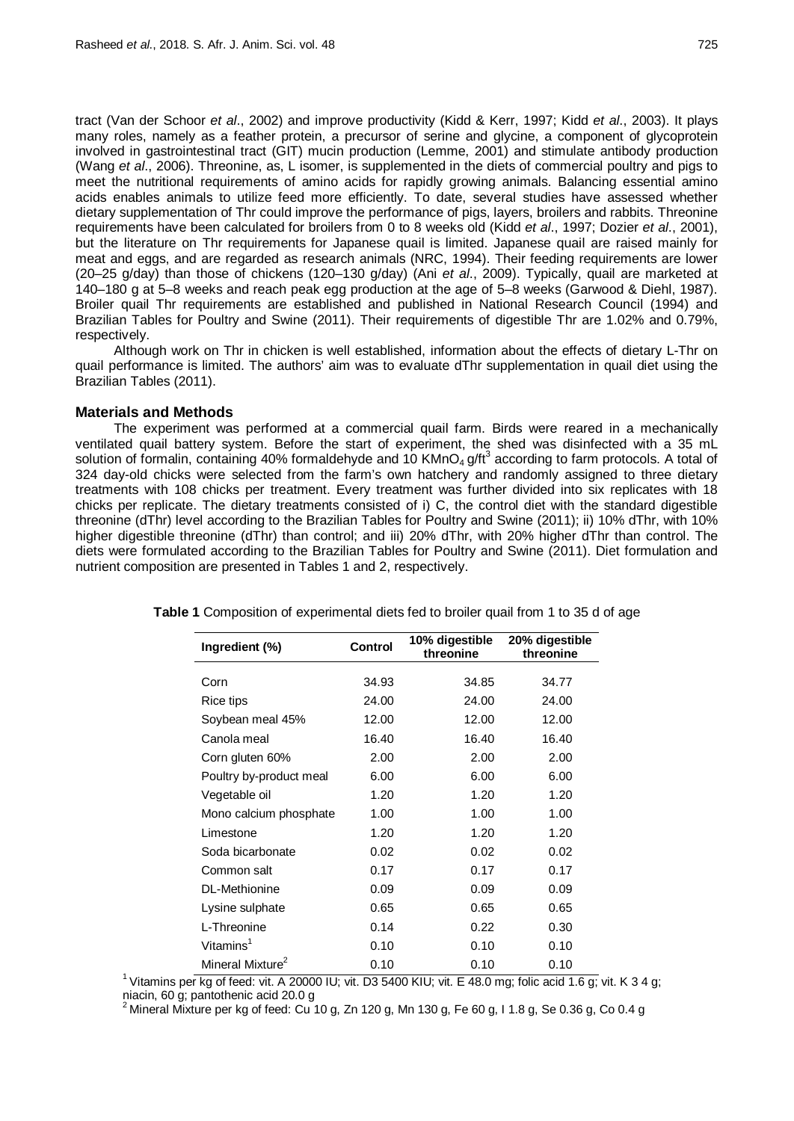tract (Van der Schoor *et al*., 2002) and improve productivity (Kidd & Kerr, 1997; Kidd *et al*., 2003). It plays many roles, namely as a feather protein, a precursor of serine and glycine, a component of glycoprotein involved in gastrointestinal tract (GIT) mucin production (Lemme, 2001) and stimulate antibody production (Wang *et al*., 2006). Threonine, as, L isomer, is supplemented in the diets of commercial poultry and pigs to meet the nutritional requirements of amino acids for rapidly growing animals. Balancing essential amino acids enables animals to utilize feed more efficiently. To date, several studies have assessed whether dietary supplementation of Thr could improve the performance of pigs, layers, broilers and rabbits. Threonine requirements have been calculated for broilers from 0 to 8 weeks old (Kidd *et al*., 1997; Dozier *et al*., 2001), but the literature on Thr requirements for Japanese quail is limited. Japanese quail are raised mainly for meat and eggs, and are regarded as research animals (NRC, 1994). Their feeding requirements are lower (20–25 g/day) than those of chickens (120–130 g/day) (Ani *et al*., 2009). Typically, quail are marketed at 140–180 g at 5–8 weeks and reach peak egg production at the age of 5–8 weeks (Garwood & Diehl, 1987). Broiler quail Thr requirements are established and published in National Research Council (1994) and Brazilian Tables for Poultry and Swine (2011). Their requirements of digestible Thr are 1.02% and 0.79%, respectively.

Although work on Thr in chicken is well established, information about the effects of dietary L-Thr on quail performance is limited. The authors' aim was to evaluate dThr supplementation in quail diet using the Brazilian Tables (2011).

## **Materials and Methods**

The experiment was performed at a commercial quail farm. Birds were reared in a mechanically ventilated quail battery system. Before the start of experiment, the shed was disinfected with a 35 mL solution of formalin, containing 40% formaldehyde and 10 KMnO<sub>4</sub> g/ft<sup>3</sup> according to farm protocols. A total of 324 day-old chicks were selected from the farm's own hatchery and randomly assigned to three dietary treatments with 108 chicks per treatment. Every treatment was further divided into six replicates with 18 chicks per replicate. The dietary treatments consisted of i) C, the control diet with the standard digestible threonine (dThr) level according to the Brazilian Tables for Poultry and Swine (2011); ii) 10% dThr, with 10% higher digestible threonine (dThr) than control; and iii) 20% dThr, with 20% higher dThr than control. The diets were formulated according to the Brazilian Tables for Poultry and Swine (2011). Diet formulation and nutrient composition are presented in Tables 1 and 2, respectively.

| Ingredient (%)               | <b>Control</b> | 10% digestible<br>threonine | 20% digestible<br>threonine |
|------------------------------|----------------|-----------------------------|-----------------------------|
| Corn                         | 34.93          | 34.85                       | 34.77                       |
| Rice tips                    | 24.00          | 24.00                       | 24.00                       |
| Soybean meal 45%             | 12.00          | 12.00                       | 12.00                       |
| Canola meal                  | 16.40          | 16.40                       | 16.40                       |
| Corn gluten 60%              | 2.00           | 2.00                        | 2.00                        |
| Poultry by-product meal      | 6.00           | 6.00                        | 6.00                        |
| Vegetable oil                | 1.20           | 1.20                        | 1.20                        |
| Mono calcium phosphate       | 1.00           | 1.00                        | 1.00                        |
| Limestone                    | 1.20           | 1.20                        | 1.20                        |
| Soda bicarbonate             | 0.02           | 0.02                        | 0.02                        |
| Common salt                  | 0.17           | 0.17                        | 0.17                        |
| DL-Methionine                | 0.09           | 0.09                        | 0.09                        |
| Lysine sulphate              | 0.65           | 0.65                        | 0.65                        |
| L-Threonine                  | 0.14           | 0.22                        | 0.30                        |
| Vitamins <sup>1</sup>        | 0.10           | 0.10                        | 0.10                        |
| Mineral Mixture <sup>2</sup> | 0.10           | 0.10                        | 0.10                        |

**Table 1** Composition of experimental diets fed to broiler quail from 1 to 35 d of age

<sup>1</sup> Vitamins per kg of feed: vit. A 20000 IU; vit. D3 5400 KIU; vit. E 48.0 mg; folic acid 1.6 g; vit. K 3 4 g; niacin, 60 g; pantothenic acid 20.0 g<br><sup>2</sup> Minorel Mixture par kg of feed: Ou 10 g

Mineral Mixture per kg of feed: Cu 10 g, Zn 120 g, Mn 130 g, Fe 60 g, I 1.8 g, Se 0.36 g, Co 0.4 g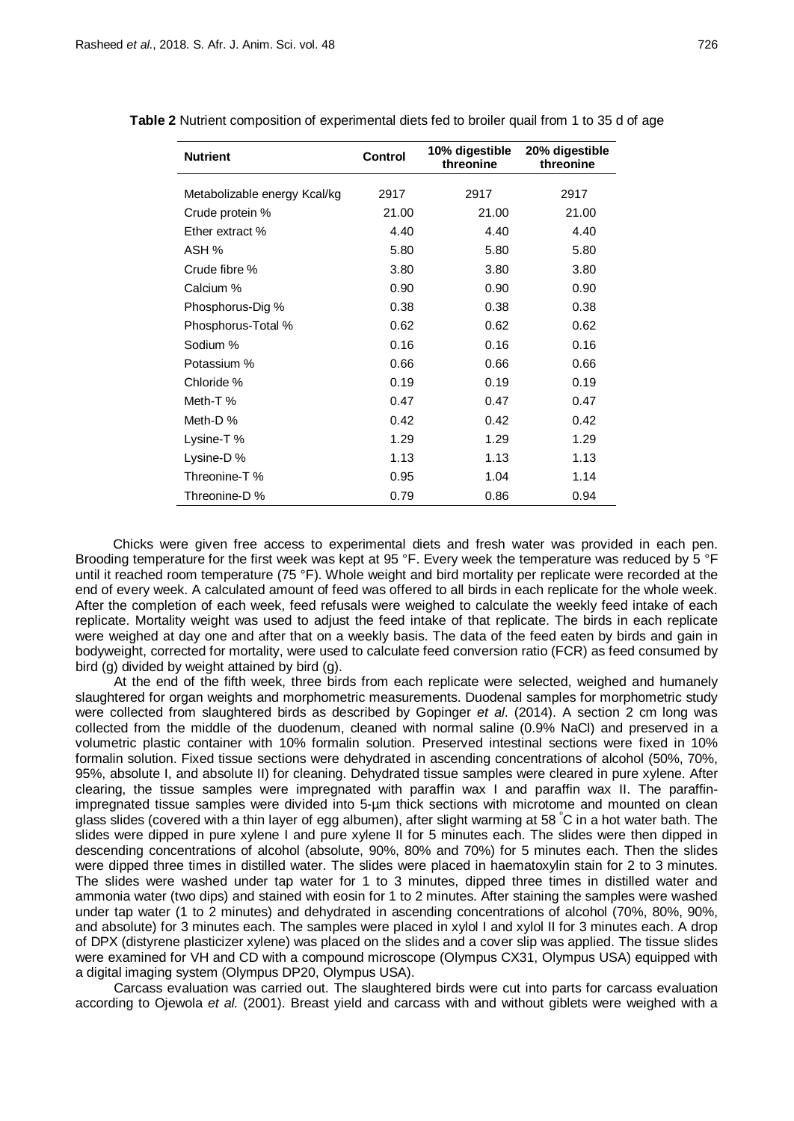| <b>Nutrient</b>              | <b>Control</b> | 10% digestible<br>threonine | 20% digestible<br>threonine |
|------------------------------|----------------|-----------------------------|-----------------------------|
| Metabolizable energy Kcal/kg | 2917           | 2917                        | 2917                        |
| Crude protein %              | 21.00          | 21.00                       | 21.00                       |
| Ether extract %              | 4.40           | 4.40                        | 4.40                        |
| ASH %                        | 5.80           | 5.80                        | 5.80                        |
| Crude fibre %                | 3.80           | 3.80                        | 3.80                        |
| Calcium %                    | 0.90           | 0.90                        | 0.90                        |
| Phosphorus-Dig %             | 0.38           | 0.38                        | 0.38                        |
| Phosphorus-Total %           | 0.62           | 0.62                        | 0.62                        |
| Sodium %                     | 0.16           | 0.16                        | 0.16                        |
| Potassium %                  | 0.66           | 0.66                        | 0.66                        |
| Chloride %                   | 0.19           | 0.19                        | 0.19                        |
| Meth-T%                      | 0.47           | 0.47                        | 0.47                        |
| Meth-D %                     | 0.42           | 0.42                        | 0.42                        |
| Lysine-T%                    | 1.29           | 1.29                        | 1.29                        |
| Lysine-D%                    | 1.13           | 1.13                        | 1.13                        |
| Threonine-T %                | 0.95           | 1.04                        | 1.14                        |
| Threonine-D %                | 0.79           | 0.86                        | 0.94                        |

**Table 2** Nutrient composition of experimental diets fed to broiler quail from 1 to 35 d of age

Chicks were given free access to experimental diets and fresh water was provided in each pen. Brooding temperature for the first week was kept at 95 °F. Every week the temperature was reduced by 5 °F until it reached room temperature (75 °F). Whole weight and bird mortality per replicate were recorded at the end of every week. A calculated amount of feed was offered to all birds in each replicate for the whole week. After the completion of each week, feed refusals were weighed to calculate the weekly feed intake of each replicate. Mortality weight was used to adjust the feed intake of that replicate. The birds in each replicate were weighed at day one and after that on a weekly basis. The data of the feed eaten by birds and gain in bodyweight, corrected for mortality, were used to calculate feed conversion ratio (FCR) as feed consumed by bird (g) divided by weight attained by bird (g).

At the end of the fifth week, three birds from each replicate were selected, weighed and humanely slaughtered for organ weights and morphometric measurements. Duodenal samples for morphometric study were collected from slaughtered birds as described by Gopinger *et al*. (2014). A section 2 cm long was collected from the middle of the duodenum, cleaned with normal saline (0.9% NaCl) and preserved in a volumetric plastic container with 10% formalin solution. Preserved intestinal sections were fixed in 10% formalin solution. Fixed tissue sections were dehydrated in ascending concentrations of alcohol (50%, 70%, 95%, absolute I, and absolute II) for cleaning. Dehydrated tissue samples were cleared in pure xylene. After clearing, the tissue samples were impregnated with paraffin wax I and paraffin wax II. The paraffinimpregnated tissue samples were divided into 5-µm thick sections with microtome and mounted on clean glass slides (covered with a thin layer of egg albumen), after slight warming at 58 °C in a hot water bath. The slides were dipped in pure xylene I and pure xylene II for 5 minutes each. The slides were then dipped in descending concentrations of alcohol (absolute, 90%, 80% and 70%) for 5 minutes each. Then the slides were dipped three times in distilled water. The slides were placed in haematoxylin stain for 2 to 3 minutes. The slides were washed under tap water for 1 to 3 minutes, dipped three times in distilled water and ammonia water (two dips) and stained with eosin for 1 to 2 minutes. After staining the samples were washed under tap water (1 to 2 minutes) and dehydrated in ascending concentrations of alcohol (70%, 80%, 90%, and absolute) for 3 minutes each. The samples were placed in xylol I and xylol II for 3 minutes each. A drop of DPX (distyrene plasticizer xylene) was placed on the slides and a cover slip was applied. The tissue slides were examined for VH and CD with a compound microscope (Olympus CX31, Olympus USA) equipped with a digital imaging system (Olympus DP20, Olympus USA).

Carcass evaluation was carried out. The slaughtered birds were cut into parts for carcass evaluation according to Ojewola *et al.* (2001). Breast yield and carcass with and without giblets were weighed with a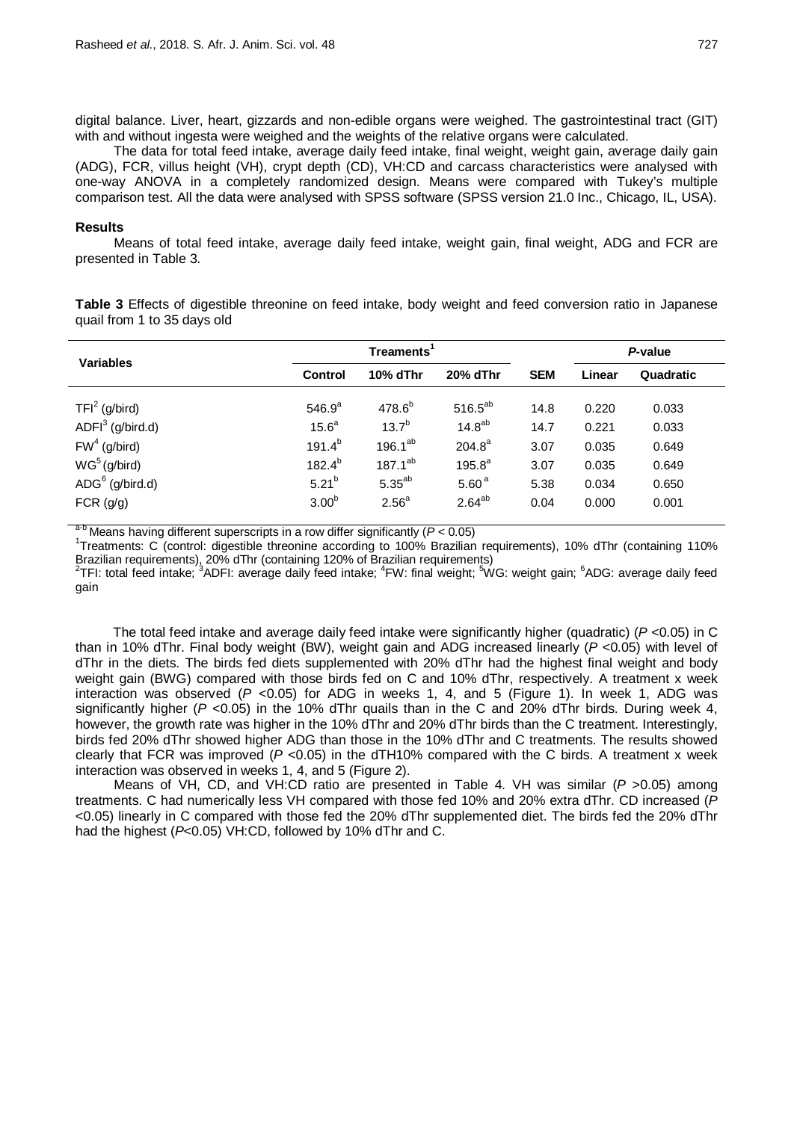digital balance. Liver, heart, gizzards and non-edible organs were weighed. The gastrointestinal tract (GIT) with and without ingesta were weighed and the weights of the relative organs were calculated.

The data for total feed intake, average daily feed intake, final weight, weight gain, average daily gain (ADG), FCR, villus height (VH), crypt depth (CD), VH:CD and carcass characteristics were analysed with one-way ANOVA in a completely randomized design. Means were compared with Tukey's multiple comparison test. All the data were analysed with SPSS software (SPSS version 21.0 Inc., Chicago, IL, USA).

## **Results**

Means of total feed intake, average daily feed intake, weight gain, final weight, ADG and FCR are presented in Table 3.

**Table 3** Effects of digestible threonine on feed intake, body weight and feed conversion ratio in Japanese quail from 1 to 35 days old

| <b>Variables</b>                                    | Treaments <sup>1</sup> |                   |                    |            | P-value |           |
|-----------------------------------------------------|------------------------|-------------------|--------------------|------------|---------|-----------|
|                                                     | <b>Control</b>         | 10% dThr          | 20% dThr           | <b>SEM</b> | Linear  | Quadratic |
| TFI <sup>2</sup> (g/bird)                           | $546.9^{a}$            | $478.6^{b}$       | $516.5^{ab}$       | 14.8       | 0.220   | 0.033     |
| $ADFI3$ (g/bird.d)                                  | 15.6 <sup>a</sup>      | $13.7^{b}$        | 14.8 <sup>ab</sup> | 14.7       | 0.221   | 0.033     |
| $FW4$ (g/bird)                                      | $191.4^{b}$            | 196.1 $^{ab}$     | $204.8^a$          | 3.07       | 0.035   | 0.649     |
| WG <sup>5</sup> (g/bird)                            | $182.4^{b}$            | $187.1^{ab}$      | $195.8^{a}$        | 3.07       | 0.035   | 0.649     |
| $\overline{A}\overline{D}\overline{G}^6$ (g/bird.d) | $5.21^{b}$             | $5.35^{ab}$       | 5.60 <sup>a</sup>  | 5.38       | 0.034   | 0.650     |
| FCR (g/g)                                           | 3.00 <sup>b</sup>      | 2.56 <sup>a</sup> | $2.64^{ab}$        | 0.04       | 0.000   | 0.001     |

a-b Means having different superscripts in a row differ significantly (*<sup>P</sup>* <sup>&</sup>lt; 0.05) <sup>1</sup>

<sup>1</sup>Treatments: C (control: digestible threonine according to 100% Brazilian requirements), 10% dThr (containing 110% Brazilian requirements), 20% dThr (containing 120% of Brazilian requirements)

<sup>2</sup>TFI: total feed intake; <sup>3</sup>ADFI: average daily feed intake; <sup>4</sup>FW: final weight; <sup>5</sup>WG: weight gain; <sup>6</sup>ADG: average daily feed gain

The total feed intake and average daily feed intake were significantly higher (quadratic) (*P* <0.05) in C than in 10% dThr. Final body weight (BW), weight gain and ADG increased linearly (*P* <0.05) with level of dThr in the diets. The birds fed diets supplemented with 20% dThr had the highest final weight and body weight gain (BWG) compared with those birds fed on C and 10% dThr, respectively. A treatment x week interaction was observed (*P* <0.05) for ADG in weeks 1, 4, and 5 (Figure 1). In week 1, ADG was significantly higher (*P* <0.05) in the 10% dThr quails than in the C and 20% dThr birds. During week 4, however, the growth rate was higher in the 10% dThr and 20% dThr birds than the C treatment. Interestingly, birds fed 20% dThr showed higher ADG than those in the 10% dThr and C treatments. The results showed clearly that FCR was improved (*P* <0.05) in the dTH10% compared with the C birds. A treatment x week interaction was observed in weeks 1, 4, and 5 (Figure 2).

Means of VH, CD, and VH:CD ratio are presented in Table 4. VH was similar (*P* >0.05) among treatments. C had numerically less VH compared with those fed 10% and 20% extra dThr. CD increased (*P*  <0.05) linearly in C compared with those fed the 20% dThr supplemented diet. The birds fed the 20% dThr had the highest (*P*<0.05) VH:CD, followed by 10% dThr and C.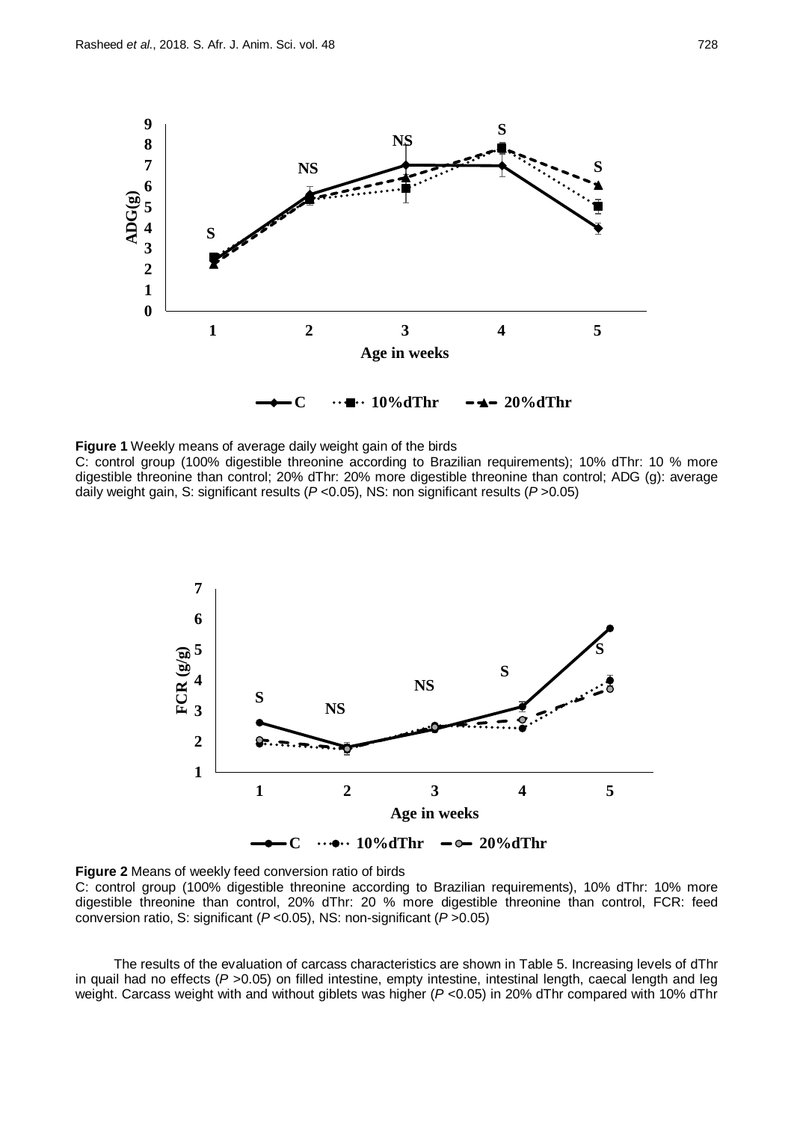

**Figure 1** Weekly means of average daily weight gain of the birds C: control group (100% digestible threonine according to Brazilian requirements); 10% dThr: 10 % more digestible threonine than control; 20% dThr: 20% more digestible threonine than control; ADG (g): average daily weight gain, S: significant results (*P* <0.05), NS: non significant results (*P* >0.05)



**Figure 2** Means of weekly feed conversion ratio of birds C: control group (100% digestible threonine according to Brazilian requirements), 10% dThr: 10% more digestible threonine than control, 20% dThr: 20 % more digestible threonine than control, FCR: feed conversion ratio, S: significant (*P* <0.05), NS: non-significant (*P* >0.05)

The results of the evaluation of carcass characteristics are shown in Table 5. Increasing levels of dThr in quail had no effects (*P* >0.05) on filled intestine, empty intestine, intestinal length, caecal length and leg weight. Carcass weight with and without giblets was higher (*P* <0.05) in 20% dThr compared with 10% dThr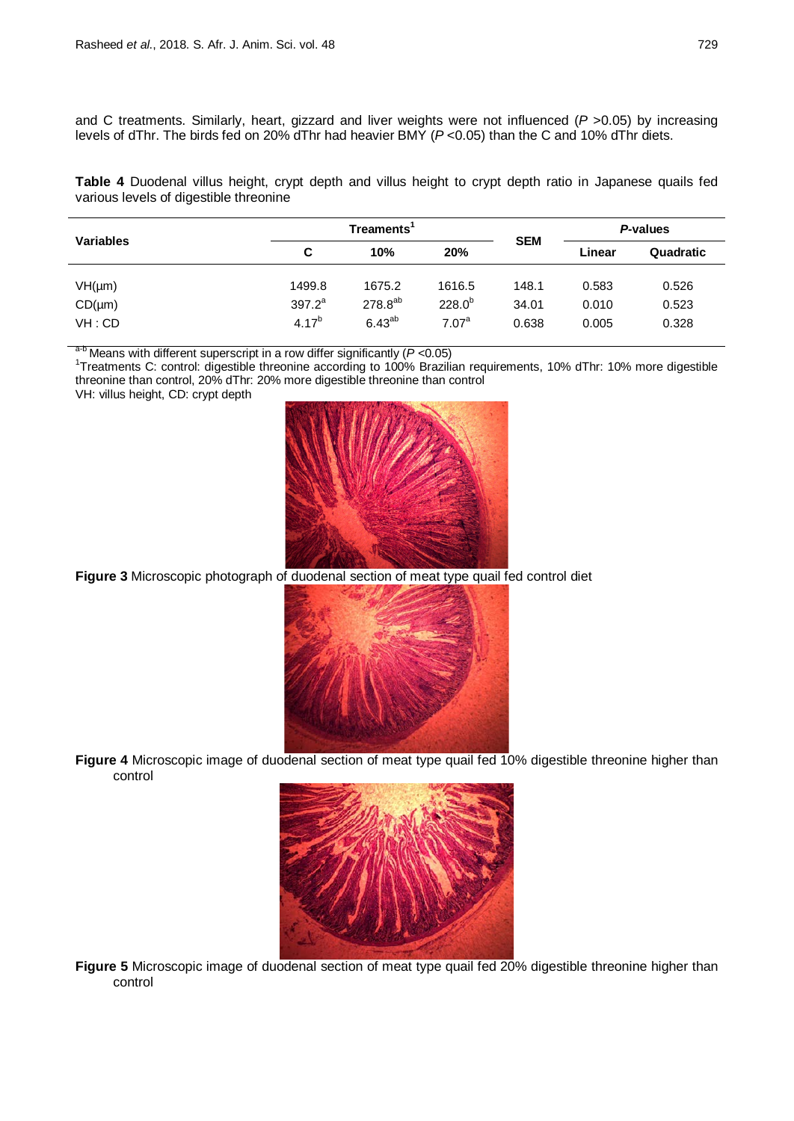and C treatments. Similarly, heart, gizzard and liver weights were not influenced (*P* >0.05) by increasing levels of dThr. The birds fed on 20% dThr had heavier BMY (*P* <0.05) than the C and 10% dThr diets.

**Table 4** Duodenal villus height, crypt depth and villus height to crypt depth ratio in Japanese quails fed various levels of digestible threonine

|                  |            | Treaments <sup>1</sup> |                   |            | P-values |           |
|------------------|------------|------------------------|-------------------|------------|----------|-----------|
| <b>Variables</b> | C          | 10%                    | 20%               | <b>SEM</b> | Linear   | Quadratic |
| $VH(\mu m)$      | 1499.8     | 1675.2                 | 1616.5            | 148.1      | 0.583    | 0.526     |
| $CD(\mu m)$      | $397.2^a$  | 278.8 <sup>ab</sup>    | $228.0^{b}$       | 34.01      | 0.010    | 0.523     |
| VH:CD            | $4.17^{b}$ | $6.43^{ab}$            | 7.07 <sup>a</sup> | 0.638      | 0.005    | 0.328     |

 $a-b$  Means with different superscript in a row differ significantly ( $P$  <0.05)

<sup>1</sup>Treatments C: control: digestible threonine according to 100% Brazilian requirements, 10% dThr: 10% more digestible threonine than control, 20% dThr: 20% more digestible threonine than control





**Figure 3** Microscopic photograph of duodenal section of meat type quail fed control diet



**Figure 4** Microscopic image of duodenal section of meat type quail fed 10% digestible threonine higher than control



Figure 5 Microscopic image of duodenal section of meat type quail fed 20% digestible threonine higher than control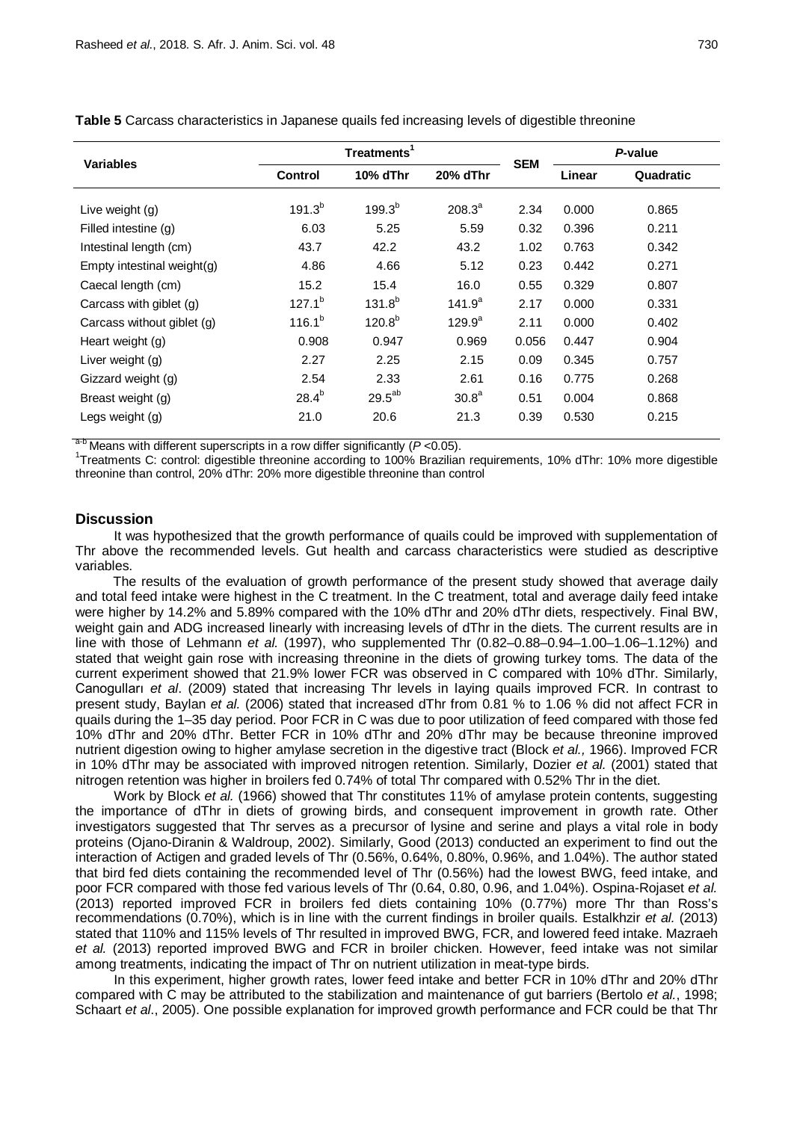| <b>Variables</b>              |                | Treatments <sup>1</sup> |                    |            | P-value |           |
|-------------------------------|----------------|-------------------------|--------------------|------------|---------|-----------|
|                               | <b>Control</b> | 10% dThr                | 20% dThr           | <b>SEM</b> | Linear  | Quadratic |
| Live weight (g)               | $191.3^{b}$    | $199.3^{b}$             | $208.3^a$          | 2.34       | 0.000   | 0.865     |
| Filled intestine (g)          | 6.03           | 5.25                    | 5.59               | 0.32       | 0.396   | 0.211     |
| Intestinal length (cm)        | 43.7           | 42.2                    | 43.2               | 1.02       | 0.763   | 0.342     |
| Empty intestinal weight $(q)$ | 4.86           | 4.66                    | 5.12               | 0.23       | 0.442   | 0.271     |
| Caecal length (cm)            | 15.2           | 15.4                    | 16.0               | 0.55       | 0.329   | 0.807     |
| Carcass with giblet (g)       | $127.1^{b}$    | $131.8^{b}$             | 141.9 <sup>a</sup> | 2.17       | 0.000   | 0.331     |
| Carcass without giblet (g)    | $116.1^{b}$    | $120.8^{b}$             | $129.9^a$          | 2.11       | 0.000   | 0.402     |
| Heart weight (g)              | 0.908          | 0.947                   | 0.969              | 0.056      | 0.447   | 0.904     |
| Liver weight (g)              | 2.27           | 2.25                    | 2.15               | 0.09       | 0.345   | 0.757     |
| Gizzard weight (g)            | 2.54           | 2.33                    | 2.61               | 0.16       | 0.775   | 0.268     |
| Breast weight (g)             | $28.4^{b}$     | $29.5^{ab}$             | 30.8 <sup>a</sup>  | 0.51       | 0.004   | 0.868     |
| Legs weight (g)               | 21.0           | 20.6                    | 21.3               | 0.39       | 0.530   | 0.215     |

**Table 5** Carcass characteristics in Japanese quails fed increasing levels of digestible threonine

a<sup>-b</sup> Means with different superscripts in a row differ significantly (*P* < 0.05).

<sup>1</sup>Treatments C: control: digestible threonine according to 100% Brazilian requirements, 10% dThr: 10% more digestible threonine than control, 20% dThr: 20% more digestible threonine than control

## **Discussion**

It was hypothesized that the growth performance of quails could be improved with supplementation of Thr above the recommended levels. Gut health and carcass characteristics were studied as descriptive variables.

The results of the evaluation of growth performance of the present study showed that average daily and total feed intake were highest in the C treatment. In the C treatment, total and average daily feed intake were higher by 14.2% and 5.89% compared with the 10% dThr and 20% dThr diets, respectively. Final BW, weight gain and ADG increased linearly with increasing levels of dThr in the diets. The current results are in line with those of Lehmann *et al.* (1997), who supplemented Thr (0.82–0.88–0.94–1.00–1.06–1.12%) and stated that weight gain rose with increasing threonine in the diets of growing turkey toms. The data of the current experiment showed that 21.9% lower FCR was observed in C compared with 10% dThr. Similarly, Canogulları *et al*. (2009) stated that increasing Thr levels in laying quails improved FCR. In contrast to present study, Baylan *et al.* (2006) stated that increased dThr from 0.81 % to 1.06 % did not affect FCR in quails during the 1–35 day period. Poor FCR in C was due to poor utilization of feed compared with those fed 10% dThr and 20% dThr. Better FCR in 10% dThr and 20% dThr may be because threonine improved nutrient digestion owing to higher amylase secretion in the digestive tract (Block *et al.,* 1966). Improved FCR in 10% dThr may be associated with improved nitrogen retention. Similarly, Dozier *et al.* (2001) stated that nitrogen retention was higher in broilers fed 0.74% of total Thr compared with 0.52% Thr in the diet.

Work by Block *et al.* (1966) showed that Thr constitutes 11% of amylase protein contents, suggesting the importance of dThr in diets of growing birds, and consequent improvement in growth rate. Other investigators suggested that Thr serves as a precursor of lysine and serine and plays a vital role in body proteins (Ojano-Diranin & Waldroup, 2002). Similarly, Good (2013) conducted an experiment to find out the interaction of Actigen and graded levels of Thr (0.56%, 0.64%, 0.80%, 0.96%, and 1.04%). The author stated that bird fed diets containing the recommended level of Thr (0.56%) had the lowest BWG, feed intake, and poor FCR compared with those fed various levels of Thr (0.64, 0.80, 0.96, and 1.04%). Ospina-Rojaset *et al.* (2013) reported improved FCR in broilers fed diets containing 10% (0.77%) more Thr than Ross's recommendations (0.70%), which is in line with the current findings in broiler quails. Estalkhzir *et al.* (2013) stated that 110% and 115% levels of Thr resulted in improved BWG, FCR, and lowered feed intake. Mazraeh *et al.* (2013) reported improved BWG and FCR in broiler chicken. However, feed intake was not similar among treatments, indicating the impact of Thr on nutrient utilization in meat-type birds.

In this experiment, higher growth rates, lower feed intake and better FCR in 10% dThr and 20% dThr compared with C may be attributed to the stabilization and maintenance of gut barriers (Bertolo *et al.*, 1998; Schaart *et al*., 2005). One possible explanation for improved growth performance and FCR could be that Thr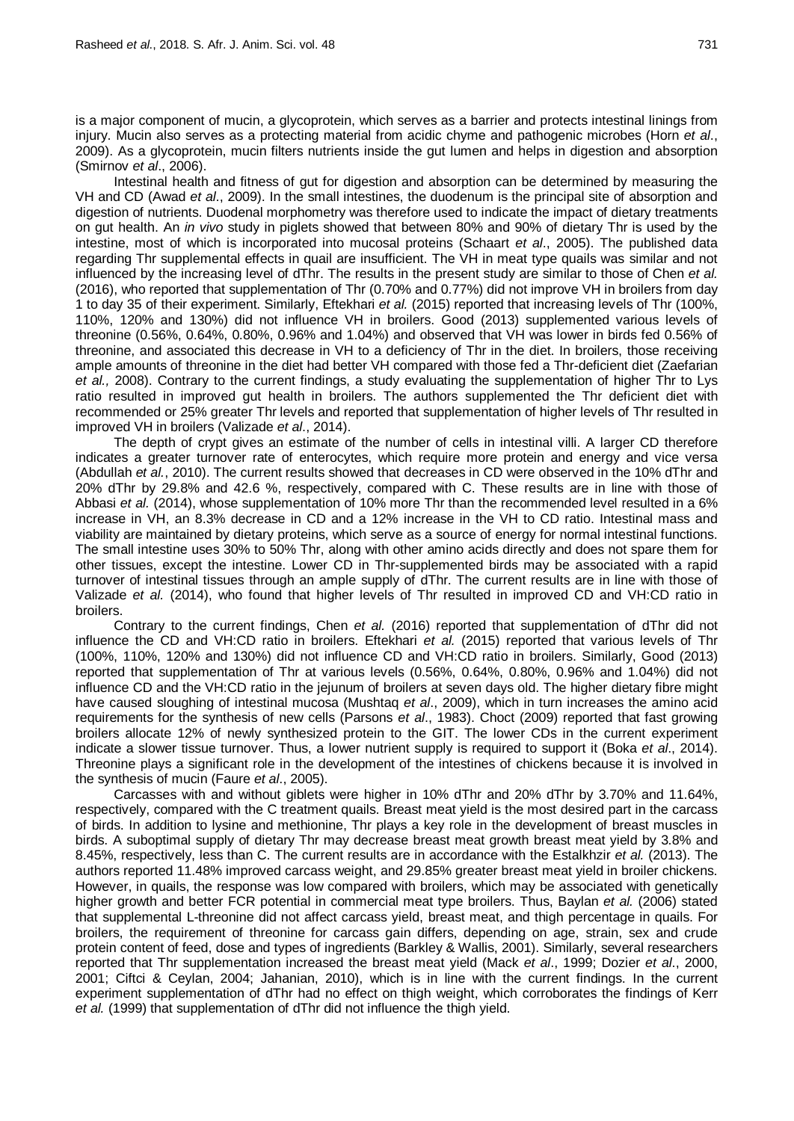is a major component of mucin, a glycoprotein, which serves as a barrier and protects intestinal linings from injury. Mucin also serves as a protecting material from acidic chyme and pathogenic microbes (Horn *et al*., 2009). As a glycoprotein, mucin filters nutrients inside the gut lumen and helps in digestion and absorption (Smirnov *et al*., 2006).

Intestinal health and fitness of gut for digestion and absorption can be determined by measuring the VH and CD (Awad *et al*., 2009). In the small intestines, the duodenum is the principal site of absorption and digestion of nutrients. Duodenal morphometry was therefore used to indicate the impact of dietary treatments on gut health. An *in vivo* study in piglets showed that between 80% and 90% of dietary Thr is used by the intestine, most of which is incorporated into mucosal proteins (Schaart *et al*., 2005). The published data regarding Thr supplemental effects in quail are insufficient. The VH in meat type quails was similar and not influenced by the increasing level of dThr. The results in the present study are similar to those of Chen *et al.* (2016), who reported that supplementation of Thr (0.70% and 0.77%) did not improve VH in broilers from day 1 to day 35 of their experiment. Similarly, Eftekhari *et al.* (2015) reported that increasing levels of Thr (100%, 110%, 120% and 130%) did not influence VH in broilers. Good (2013) supplemented various levels of threonine (0.56%, 0.64%, 0.80%, 0.96% and 1.04%) and observed that VH was lower in birds fed 0.56% of threonine, and associated this decrease in VH to a deficiency of Thr in the diet. In broilers, those receiving ample amounts of threonine in the diet had better VH compared with those fed a Thr-deficient diet (Zaefarian *et al.,* 2008). Contrary to the current findings, a study evaluating the supplementation of higher Thr to Lys ratio resulted in improved gut health in broilers. The authors supplemented the Thr deficient diet with recommended or 25% greater Thr levels and reported that supplementation of higher levels of Thr resulted in improved VH in broilers (Valizade *et al*., 2014).

The depth of crypt gives an estimate of the number of cells in intestinal villi. A larger CD therefore indicates a greater turnover rate of enterocytes, which require more protein and energy and vice versa (Abdullah *et al.*, 2010). The current results showed that decreases in CD were observed in the 10% dThr and 20% dThr by 29.8% and 42.6 %, respectively, compared with C. These results are in line with those of Abbasi *et al.* (2014), whose supplementation of 10% more Thr than the recommended level resulted in a 6% increase in VH, an 8.3% decrease in CD and a 12% increase in the VH to CD ratio. Intestinal mass and viability are maintained by dietary proteins, which serve as a source of energy for normal intestinal functions. The small intestine uses 30% to 50% Thr, along with other amino acids directly and does not spare them for other tissues, except the intestine. Lower CD in Thr-supplemented birds may be associated with a rapid turnover of intestinal tissues through an ample supply of dThr. The current results are in line with those of Valizade *et al.* (2014), who found that higher levels of Thr resulted in improved CD and VH:CD ratio in broilers.

Contrary to the current findings, Chen *et al.* (2016) reported that supplementation of dThr did not influence the CD and VH:CD ratio in broilers. Eftekhari *et al.* (2015) reported that various levels of Thr (100%, 110%, 120% and 130%) did not influence CD and VH:CD ratio in broilers. Similarly, Good (2013) reported that supplementation of Thr at various levels (0.56%, 0.64%, 0.80%, 0.96% and 1.04%) did not influence CD and the VH:CD ratio in the jejunum of broilers at seven days old. The higher dietary fibre might have caused sloughing of intestinal mucosa (Mushtaq *et al*., 2009), which in turn increases the amino acid requirements for the synthesis of new cells (Parsons *et al*., 1983). Choct (2009) reported that fast growing broilers allocate 12% of newly synthesized protein to the GIT. The lower CDs in the current experiment indicate a slower tissue turnover. Thus, a lower nutrient supply is required to support it (Boka *et al*., 2014). Threonine plays a significant role in the development of the intestines of chickens because it is involved in the synthesis of mucin (Faure *et al*., 2005).

Carcasses with and without giblets were higher in 10% dThr and 20% dThr by 3.70% and 11.64%, respectively, compared with the C treatment quails. Breast meat yield is the most desired part in the carcass of birds. In addition to lysine and methionine, Thr plays a key role in the development of breast muscles in birds. A suboptimal supply of dietary Thr may decrease breast meat growth breast meat yield by 3.8% and 8.45%, respectively, less than C. The current results are in accordance with the Estalkhzir *et al.* (2013). The authors reported 11.48% improved carcass weight, and 29.85% greater breast meat yield in broiler chickens. However, in quails, the response was low compared with broilers, which may be associated with genetically higher growth and better FCR potential in commercial meat type broilers. Thus, Baylan *et al.* (2006) stated that supplemental L-threonine did not affect carcass yield, breast meat, and thigh percentage in quails. For broilers, the requirement of threonine for carcass gain differs, depending on age, strain, sex and crude protein content of feed, dose and types of ingredients [\(Barkley &](#page-8-0) Wallis, 2001). Similarly, several researchers reported that Thr supplementation increased the breast meat yield (Mack *et al*., 1999; Dozier *et al*., 2000, 2001; Ciftci & Ceylan, 2004; Jahanian, 2010), which is in line with the current findings. In the current experiment supplementation of dThr had no effect on thigh weight, which corroborates the findings of Kerr *et al.* (1999) that supplementation of dThr did not influence the thigh yield.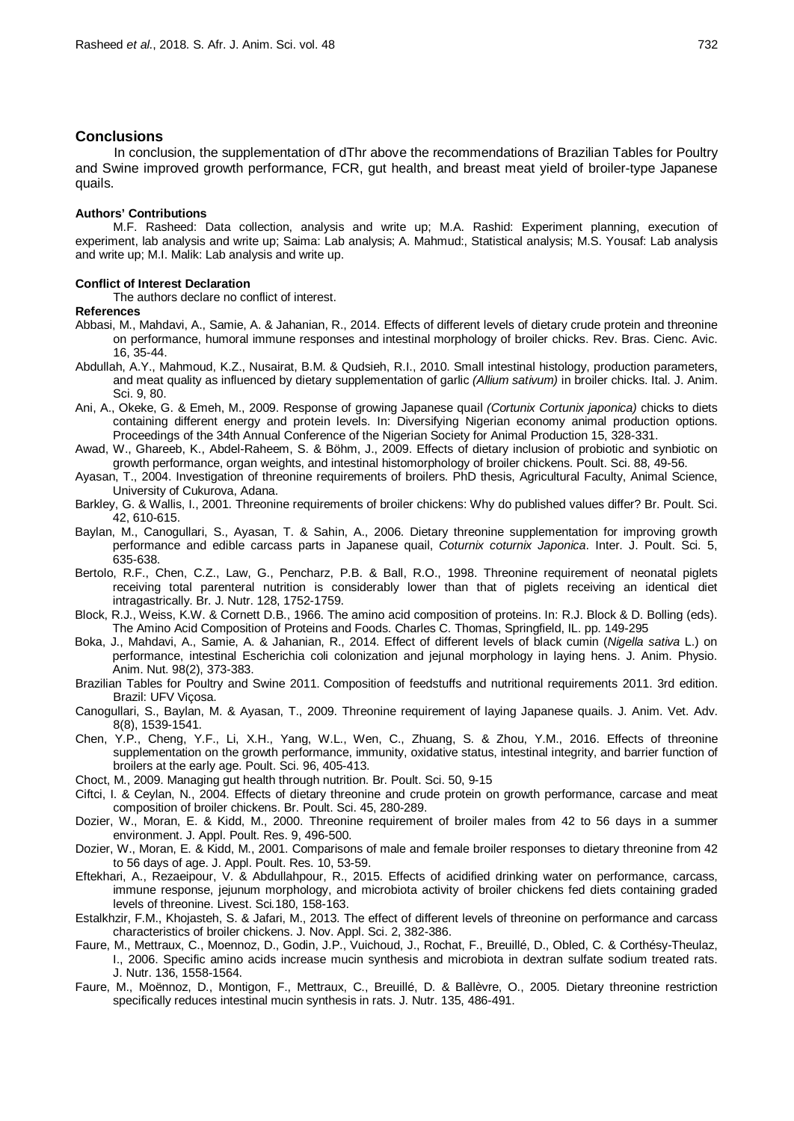#### **Conclusions**

In conclusion, the supplementation of dThr above the recommendations of Brazilian Tables for Poultry and Swine improved growth performance, FCR, gut health, and breast meat yield of broiler-type Japanese quails.

## **Authors' Contributions**

M.F. Rasheed: Data collection, analysis and write up; M.A. Rashid: Experiment planning, execution of experiment, lab analysis and write up; Saima: Lab analysis; A. Mahmud:, Statistical analysis; M.S. Yousaf: Lab analysis and write up; M.I. Malik: Lab analysis and write up.

#### **Conflict of Interest Declaration**

The authors declare no conflict of interest.

- **References**
- Abbasi, M., Mahdavi, A., Samie, A. & Jahanian, R., 2014. Effects of different levels of dietary crude protein and threonine on performance, humoral immune responses and intestinal morphology of broiler chicks. Rev. Bras. Cienc. Avic. 16, 35-44.
- Abdullah, A.Y., Mahmoud, K.Z., Nusairat, B.M. & Qudsieh, R.I., 2010. Small intestinal histology, production parameters, and meat quality as influenced by dietary supplementation of garlic *(Allium sativum)* in broiler chicks. Ital. J. Anim. Sci. 9, 80.
- Ani, A., Okeke, G. & Emeh, M., 2009. Response of growing Japanese quail *(Cortunix Cortunix japonica)* chicks to diets containing different energy and protein levels. In: Diversifying Nigerian economy animal production options. Proceedings of the 34th Annual Conference of the Nigerian Society for Animal Production 15, 328-331.
- Awad, W., Ghareeb, K., Abdel-Raheem, S. & Böhm, J., 2009. Effects of dietary inclusion of probiotic and synbiotic on growth performance, organ weights, and intestinal histomorphology of broiler chickens. Poult. Sci. 88, 49-56.
- Ayasan, T., 2004. Investigation of threonine requirements of broilers. PhD thesis, Agricultural Faculty, Animal Science, University of Cukurova, Adana.
- <span id="page-8-0"></span>Barkley, G. & Wallis, I., 2001. Threonine requirements of broiler chickens: Why do published values differ? Br. Poult. Sci. 42, 610-615.
- Baylan, M., Canogullari, S., Ayasan, T. & Sahin, A., 2006. Dietary threonine supplementation for improving growth performance and edible carcass parts in Japanese quail, *Coturnix coturnix Japonica*. Inter. J. Poult. Sci. 5, 635-638.
- Bertolo, R.F., Chen, C.Z., Law, G., Pencharz, P.B. & Ball, R.O., 1998. Threonine requirement of neonatal piglets receiving total parenteral nutrition is considerably lower than that of piglets receiving an identical diet intragastrically. Br. J. Nutr. 128, 1752-1759.
- Block, R.J., Weiss, K.W. & Cornett D.B., 1966. The amino acid composition of proteins. In: R.J. Block & D. Bolling (eds). The Amino Acid Composition of Proteins and Foods. Charles C. Thomas, Springfield, IL. pp. 149-295
- Boka, J., Mahdavi, A., Samie, A. & Jahanian, R., 2014. Effect of different levels of black cumin (*Nigella sativa* L.) on performance, intestinal Escherichia coli colonization and jejunal morphology in laying hens. J. Anim. Physio. Anim. Nut. 98(2), 373-383.
- Brazilian Tables for Poultry and Swine 2011. Composition of feedstuffs and nutritional requirements 2011. 3rd edition. Brazil: UFV Viçosa.
- Canogullari, S., Baylan, M. & Ayasan, T., 2009. Threonine requirement of laying Japanese quails. J. Anim. Vet. Adv. 8(8), 1539-1541.
- Chen, Y.P., Cheng, Y.F., Li, X.H., Yang, W.L., Wen, C., Zhuang, S. & Zhou, Y.M., 2016. Effects of threonine supplementation on the growth performance, immunity, oxidative status, intestinal integrity, and barrier function of broilers at the early age. Poult. Sci. 96, 405-413.
- Choct, M., 2009. Managing gut health through nutrition. Br. Poult. Sci. 50, 9-15
- Ciftci, I. & Ceylan, N., 2004. Effects of dietary threonine and crude protein on growth performance, carcase and meat composition of broiler chickens. Br. Poult. Sci. 45, 280-289.
- Dozier, W., Moran, E. & Kidd, M., 2000. Threonine requirement of broiler males from 42 to 56 days in a summer environment. J. Appl. Poult. Res. 9, 496-500.
- Dozier, W., Moran, E. & Kidd, M., 2001. Comparisons of male and female broiler responses to dietary threonine from 42 to 56 days of age. J. Appl. Poult. Res. 10, 53-59.
- Eftekhari, A., Rezaeipour, V. & Abdullahpour, R., 2015. Effects of acidified drinking water on performance, carcass, immune response, jejunum morphology, and microbiota activity of broiler chickens fed diets containing graded levels of threonine. Livest. Sci*.*180, 158-163.
- Estalkhzir, F.M., Khojasteh, S. & Jafari, M., 2013. The effect of different levels of threonine on performance and carcass characteristics of broiler chickens. J. Nov. Appl. Sci. 2, 382-386.
- Faure, M., Mettraux, C., Moennoz, D., Godin, J.P., Vuichoud, J., Rochat, F., Breuillé, D., Obled, C. & Corthésy-Theulaz, I., 2006. Specific amino acids increase mucin synthesis and microbiota in dextran sulfate sodium treated rats. J. Nutr. 136, 1558-1564.
- Faure, M., Moënnoz, D., Montigon, F., Mettraux, C., Breuillé, D. & Ballèvre, O., 2005. Dietary threonine restriction specifically reduces intestinal mucin synthesis in rats. J. Nutr. 135, 486-491.